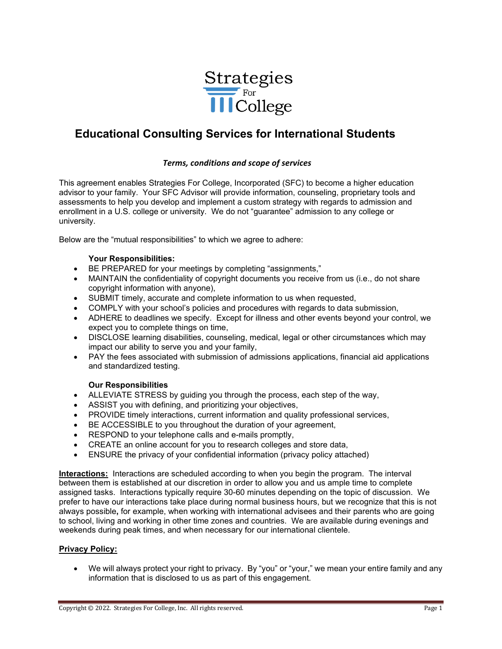

# **Educational Consulting Services for International Students**

### *Terms, conditions and scope of services*

This agreement enables Strategies For College, Incorporated (SFC) to become a higher education advisor to your family. Your SFC Advisor will provide information, counseling, proprietary tools and assessments to help you develop and implement a custom strategy with regards to admission and enrollment in a U.S. college or university. We do not "guarantee" admission to any college or university.

Below are the "mutual responsibilities" to which we agree to adhere:

#### **Your Responsibilities:**

- BE PREPARED for your meetings by completing "assignments,"
- MAINTAIN the confidentiality of copyright documents you receive from us (i.e., do not share copyright information with anyone),
- SUBMIT timely, accurate and complete information to us when requested,
- COMPLY with your school's policies and procedures with regards to data submission,
- ADHERE to deadlines we specify. Except for illness and other events beyond your control, we expect you to complete things on time,
- DISCLOSE learning disabilities, counseling, medical, legal or other circumstances which may impact our ability to serve you and your family,
- PAY the fees associated with submission of admissions applications, financial aid applications and standardized testing.

### **Our Responsibilities**

- ALLEVIATE STRESS by guiding you through the process, each step of the way,
- ASSIST you with defining, and prioritizing your objectives,
- PROVIDE timely interactions, current information and quality professional services,
- BE ACCESSIBLE to you throughout the duration of your agreement,
- RESPOND to your telephone calls and e-mails promptly,
- CREATE an online account for you to research colleges and store data,
- ENSURE the privacy of your confidential information (privacy policy attached)

**Interactions:** Interactions are scheduled according to when you begin the program. The interval between them is established at our discretion in order to allow you and us ample time to complete assigned tasks. Interactions typically require 30-60 minutes depending on the topic of discussion. We prefer to have our interactions take place during normal business hours, but we recognize that this is not always possible**,** for example, when working with international advisees and their parents who are going to school, living and working in other time zones and countries. We are available during evenings and weekends during peak times, and when necessary for our international clientele.

#### **Privacy Policy:**

• We will always protect your right to privacy. By "you" or "your," we mean your entire family and any information that is disclosed to us as part of this engagement.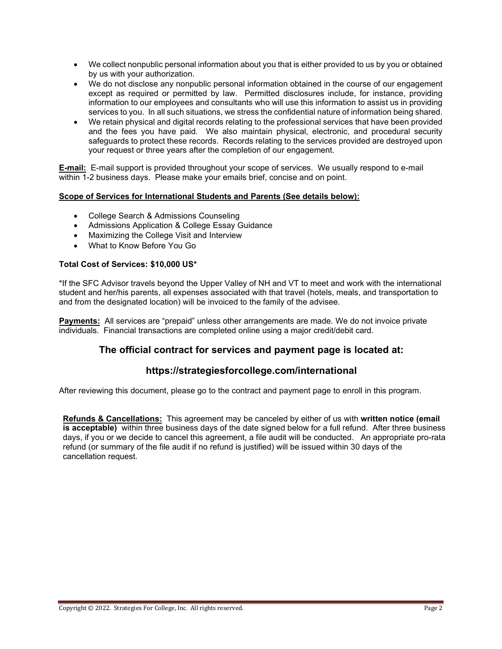- We collect nonpublic personal information about you that is either provided to us by you or obtained by us with your authorization.
- We do not disclose any nonpublic personal information obtained in the course of our engagement except as required or permitted by law. Permitted disclosures include, for instance, providing information to our employees and consultants who will use this information to assist us in providing services to you. In all such situations, we stress the confidential nature of information being shared.
- We retain physical and digital records relating to the professional services that have been provided and the fees you have paid. We also maintain physical, electronic, and procedural security safeguards to protect these records. Records relating to the services provided are destroyed upon your request or three years after the completion of our engagement.

**E-mail:** E-mail support is provided throughout your scope of services. We usually respond to e-mail within 1-2 business days. Please make your emails brief, concise and on point.

### **Scope of Services for International Students and Parents (See details below):**

- College Search & Admissions Counseling
- Admissions Application & College Essay Guidance
- Maximizing the College Visit and Interview
- What to Know Before You Go

### **Total Cost of Services: \$10,000 US\***

\*If the SFC Advisor travels beyond the Upper Valley of NH and VT to meet and work with the international student and her/his parents, all expenses associated with that travel (hotels, meals, and transportation to and from the designated location) will be invoiced to the family of the advisee.

**Payments:** All services are "prepaid" unless other arrangements are made. We do not invoice private individuals. Financial transactions are completed online using a major credit/debit card.

## **The official contract for services and payment page is located at:**

## **<https://strategiesforcollege.com/international>**

After reviewing this document, please go to the contract and payment page to enroll in this program.

**Refunds & Cancellations:** This agreement may be canceled by either of us with **written notice (email is acceptable)** within three business days of the date signed below for a full refund. After three business days, if you or we decide to cancel this agreement, a file audit will be conducted. An appropriate pro-rata refund (or summary of the file audit if no refund is justified) will be issued within 30 days of the cancellation request.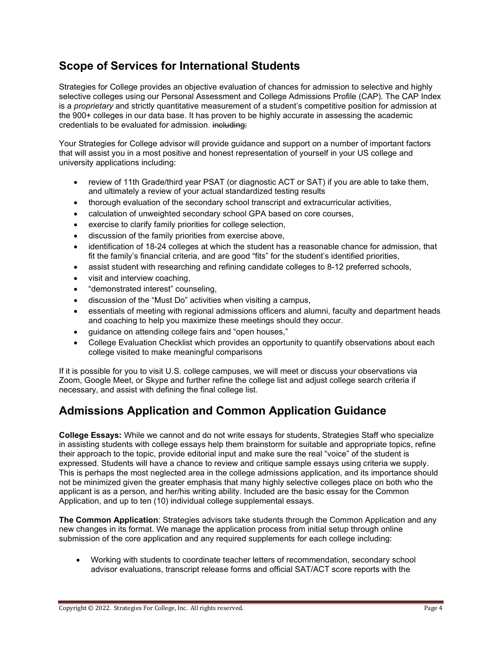# **Scope of Services for International Students**

Strategies for College provides an objective evaluation of chances for admission to selective and highly selective colleges using our Personal Assessment and College Admissions Profile (CAP). The CAP Index is a *proprietary* and strictly quantitative measurement of a student's competitive position for admission at the 900+ colleges in our data base. It has proven to be highly accurate in assessing the academic credentials to be evaluated for admission. including:

Your Strategies for College advisor will provide guidance and support on a number of important factors that will assist you in a most positive and honest representation of yourself in your US college and university applications including:

- review of 11th Grade/third year PSAT (or diagnostic ACT or SAT) if you are able to take them, and ultimately a review of your actual standardized testing results
- thorough evaluation of the secondary school transcript and extracurricular activities,
- calculation of unweighted secondary school GPA based on core courses,
- exercise to clarify family priorities for college selection,
- discussion of the family priorities from exercise above,
- identification of 18-24 colleges at which the student has a reasonable chance for admission, that fit the family's financial criteria, and are good "fits" for the student's identified priorities,
- assist student with researching and refining candidate colleges to 8-12 preferred schools,
- visit and interview coaching,
- "demonstrated interest" counseling,
- discussion of the "Must Do" activities when visiting a campus,
- essentials of meeting with regional admissions officers and alumni, faculty and department heads and coaching to help you maximize these meetings should they occur.
- quidance on attending college fairs and "open houses,"
- College Evaluation Checklist which provides an opportunity to quantify observations about each college visited to make meaningful comparisons

If it is possible for you to visit U.S. college campuses, we will meet or discuss your observations via Zoom, Google Meet, or Skype and further refine the college list and adjust college search criteria if necessary, and assist with defining the final college list.

# **Admissions Application and Common Application Guidance**

**College Essays:** While we cannot and do not write essays for students, Strategies Staff who specialize in assisting students with college essays help them brainstorm for suitable and appropriate topics, refine their approach to the topic, provide editorial input and make sure the real "voice" of the student is expressed. Students will have a chance to review and critique sample essays using criteria we supply. This is perhaps the most neglected area in the college admissions application, and its importance should not be minimized given the greater emphasis that many highly selective colleges place on both who the applicant is as a person, and her/his writing ability. Included are the basic essay for the Common Application, and up to ten (10) individual college supplemental essays.

**The Common Application**: Strategies advisors take students through the Common Application and any new changes in its format. We manage the application process from initial setup through online submission of the core application and any required supplements for each college including:

• Working with students to coordinate teacher letters of recommendation, secondary school advisor evaluations, transcript release forms and official SAT/ACT score reports with the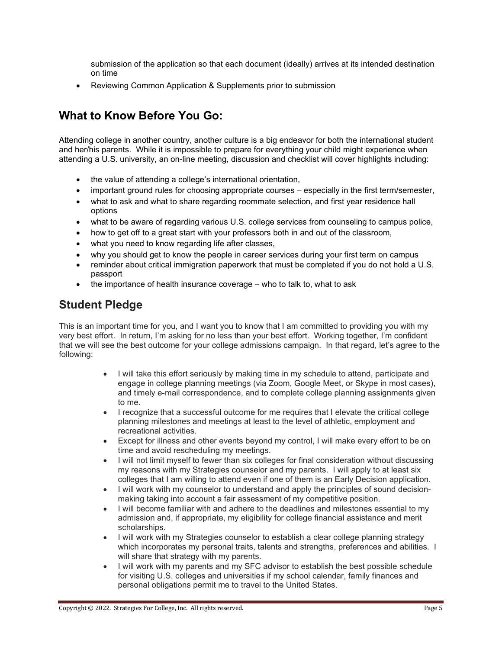submission of the application so that each document (ideally) arrives at its intended destination on time

• Reviewing Common Application & Supplements prior to submission

# **What to Know Before You Go:**

Attending college in another country, another culture is a big endeavor for both the international student and her/his parents. While it is impossible to prepare for everything your child might experience when attending a U.S. university, an on-line meeting, discussion and checklist will cover highlights including:

- the value of attending a college's international orientation,
- important ground rules for choosing appropriate courses especially in the first term/semester,
- what to ask and what to share regarding roommate selection, and first year residence hall options
- what to be aware of regarding various U.S. college services from counseling to campus police,
- how to get off to a great start with your professors both in and out of the classroom,
- what you need to know regarding life after classes,
- why you should get to know the people in career services during your first term on campus
- reminder about critical immigration paperwork that must be completed if you do not hold a U.S. passport
- the importance of health insurance coverage who to talk to, what to ask

## **Student Pledge**

This is an important time for you, and I want you to know that I am committed to providing you with my very best effort. In return, I'm asking for no less than your best effort. Working together, I'm confident that we will see the best outcome for your college admissions campaign. In that regard, let's agree to the following:

- I will take this effort seriously by making time in my schedule to attend, participate and engage in college planning meetings (via Zoom, Google Meet, or Skype in most cases), and timely e-mail correspondence, and to complete college planning assignments given to me.
- I recognize that a successful outcome for me requires that I elevate the critical college planning milestones and meetings at least to the level of athletic, employment and recreational activities.
- Except for illness and other events beyond my control, I will make every effort to be on time and avoid rescheduling my meetings.
- I will not limit myself to fewer than six colleges for final consideration without discussing my reasons with my Strategies counselor and my parents. I will apply to at least six colleges that I am willing to attend even if one of them is an Early Decision application.
- I will work with my counselor to understand and apply the principles of sound decisionmaking taking into account a fair assessment of my competitive position.
- I will become familiar with and adhere to the deadlines and milestones essential to my admission and, if appropriate, my eligibility for college financial assistance and merit scholarships.
- I will work with my Strategies counselor to establish a clear college planning strategy which incorporates my personal traits, talents and strengths, preferences and abilities. I will share that strategy with my parents.
- I will work with my parents and my SFC advisor to establish the best possible schedule for visiting U.S. colleges and universities if my school calendar, family finances and personal obligations permit me to travel to the United States.